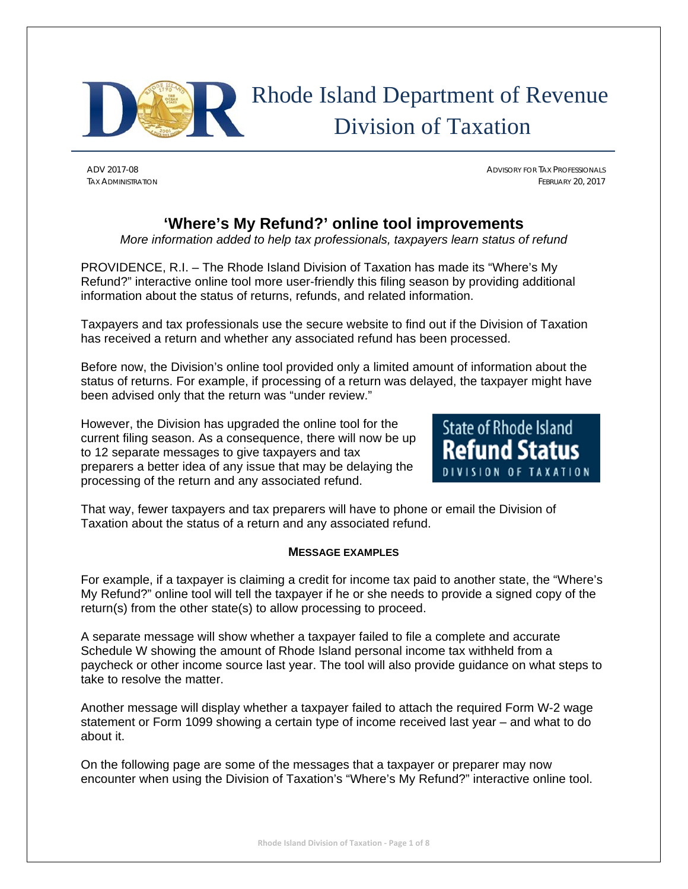

# Rhode Island Department of Revenue Division of Taxation

ADV 2017-08 ADVISORY FOR TAX PROFESSIONALS TAX ADMINISTRATION FEBRUARY 20, 2017

# **'Where's My Refund?' online tool improvements**

*More information added to help tax professionals, taxpayers learn status of refund* 

PROVIDENCE, R.I. – The Rhode Island Division of Taxation has made its "Where's My Refund?" interactive online tool more user-friendly this filing season by providing additional information about the status of returns, refunds, and related information.

Taxpayers and tax professionals use the secure website to find out if the Division of Taxation has received a return and whether any associated refund has been processed.

Before now, the Division's online tool provided only a limited amount of information about the status of returns. For example, if processing of a return was delayed, the taxpayer might have been advised only that the return was "under review."

However, the Division has upgraded the online tool for the current filing season. As a consequence, there will now be up to 12 separate messages to give taxpayers and tax preparers a better idea of any issue that may be delaying the processing of the return and any associated refund.



That way, fewer taxpayers and tax preparers will have to phone or email the Division of Taxation about the status of a return and any associated refund.

## **MESSAGE EXAMPLES**

For example, if a taxpayer is claiming a credit for income tax paid to another state, the "Where's My Refund?" online tool will tell the taxpayer if he or she needs to provide a signed copy of the return(s) from the other state(s) to allow processing to proceed.

A separate message will show whether a taxpayer failed to file a complete and accurate Schedule W showing the amount of Rhode Island personal income tax withheld from a paycheck or other income source last year. The tool will also provide guidance on what steps to take to resolve the matter.

Another message will display whether a taxpayer failed to attach the required Form W-2 wage statement or Form 1099 showing a certain type of income received last year – and what to do about it.

On the following page are some of the messages that a taxpayer or preparer may now encounter when using the Division of Taxation's "Where's My Refund?" interactive online tool.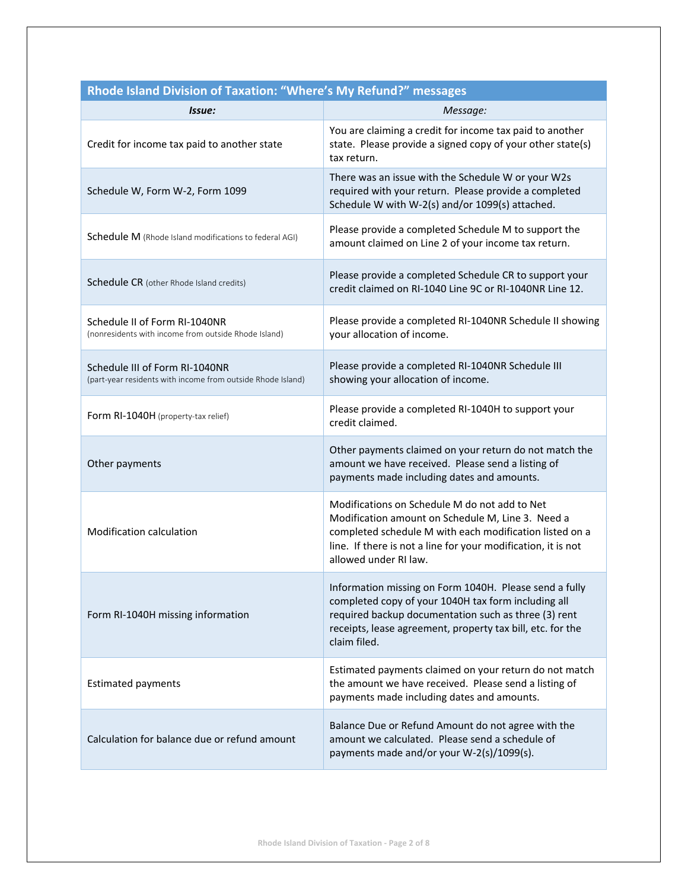| Issue:                                                                                        | . .<br>Message:                                                                                                                                                                                                                                         |
|-----------------------------------------------------------------------------------------------|---------------------------------------------------------------------------------------------------------------------------------------------------------------------------------------------------------------------------------------------------------|
| Credit for income tax paid to another state                                                   | You are claiming a credit for income tax paid to another<br>state. Please provide a signed copy of your other state(s)<br>tax return.                                                                                                                   |
| Schedule W, Form W-2, Form 1099                                                               | There was an issue with the Schedule W or your W2s<br>required with your return. Please provide a completed<br>Schedule W with W-2(s) and/or 1099(s) attached.                                                                                          |
| Schedule M (Rhode Island modifications to federal AGI)                                        | Please provide a completed Schedule M to support the<br>amount claimed on Line 2 of your income tax return.                                                                                                                                             |
| Schedule CR (other Rhode Island credits)                                                      | Please provide a completed Schedule CR to support your<br>credit claimed on RI-1040 Line 9C or RI-1040NR Line 12.                                                                                                                                       |
| Schedule II of Form RI-1040NR<br>(nonresidents with income from outside Rhode Island)         | Please provide a completed RI-1040NR Schedule II showing<br>your allocation of income.                                                                                                                                                                  |
| Schedule III of Form RI-1040NR<br>(part-year residents with income from outside Rhode Island) | Please provide a completed RI-1040NR Schedule III<br>showing your allocation of income.                                                                                                                                                                 |
| Form RI-1040H (property-tax relief)                                                           | Please provide a completed RI-1040H to support your<br>credit claimed.                                                                                                                                                                                  |
| Other payments                                                                                | Other payments claimed on your return do not match the<br>amount we have received. Please send a listing of<br>payments made including dates and amounts.                                                                                               |
| Modification calculation                                                                      | Modifications on Schedule M do not add to Net<br>Modification amount on Schedule M, Line 3. Need a<br>completed schedule M with each modification listed on a<br>line. If there is not a line for your modification, it is not<br>allowed under RI law. |
| Form RI-1040H missing information                                                             | Information missing on Form 1040H. Please send a fully<br>completed copy of your 1040H tax form including all<br>required backup documentation such as three (3) rent<br>receipts, lease agreement, property tax bill, etc. for the<br>claim filed.     |
| <b>Estimated payments</b>                                                                     | Estimated payments claimed on your return do not match<br>the amount we have received. Please send a listing of<br>payments made including dates and amounts.                                                                                           |
| Calculation for balance due or refund amount                                                  | Balance Due or Refund Amount do not agree with the<br>amount we calculated. Please send a schedule of<br>payments made and/or your W-2(s)/1099(s).                                                                                                      |

## **Rhode Island Division of Taxation: "Where's My Refund?" messages**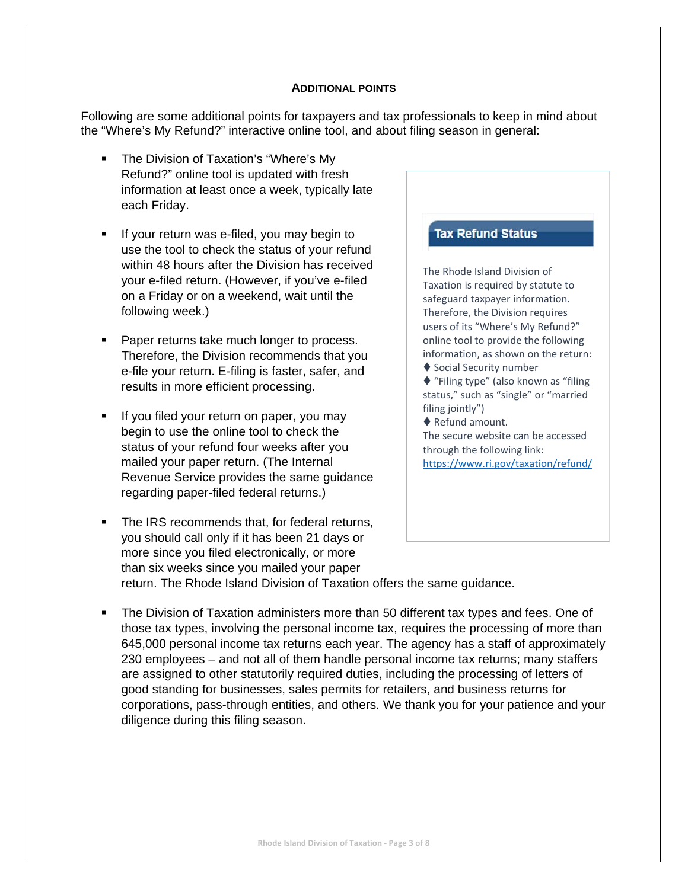## **ADDITIONAL POINTS**

Following are some additional points for taxpayers and tax professionals to keep in mind about the "Where's My Refund?" interactive online tool, and about filing season in general:

- The Division of Taxation's "Where's My Refund?" online tool is updated with fresh information at least once a week, typically late each Friday.
- If your return was e-filed, you may begin to use the tool to check the status of your refund within 48 hours after the Division has received your e-filed return. (However, if you've e-filed on a Friday or on a weekend, wait until the following week.)
- **Paper returns take much longer to process.** Therefore, the Division recommends that you e-file your return. E-filing is faster, safer, and results in more efficient processing.
- If you filed your return on paper, you may begin to use the online tool to check the status of your refund four weeks after you mailed your paper return. (The Internal Revenue Service provides the same guidance regarding paper-filed federal returns.)
- The IRS recommends that, for federal returns, you should call only if it has been 21 days or more since you filed electronically, or more than six weeks since you mailed your paper return. The Rhode Island Division of Taxation offers the same guidance.

## The Division of Taxation administers more than 50 different tax types and fees. One of those tax types, involving the personal income tax, requires the processing of more than 645,000 personal income tax returns each year. The agency has a staff of approximately 230 employees – and not all of them handle personal income tax returns; many staffers are assigned to other statutorily required duties, including the processing of letters of good standing for businesses, sales permits for retailers, and business returns for corporations, pass-through entities, and others. We thank you for your patience and your diligence during this filing season.

## **Tax Refund Status**

The Rhode Island Division of Taxation is required by statute to safeguard taxpayer information. Therefore, the Division requires users of its "Where's My Refund?" online tool to provide the following information, as shown on the return: ◆ Social Security number

◆ "Filing type" (also known as "filing status," such as "single" or "married

filing jointly") ◆ Refund amount.

The secure website can be accessed through the following link: https://www.ri.gov/taxation/refund/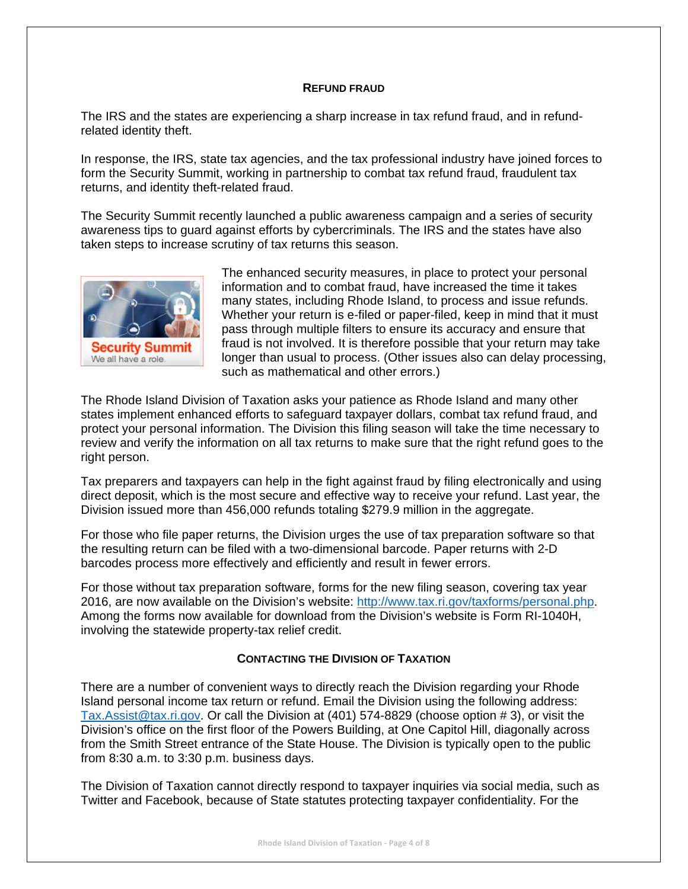## **REFUND FRAUD**

The IRS and the states are experiencing a sharp increase in tax refund fraud, and in refundrelated identity theft.

In response, the IRS, state tax agencies, and the tax professional industry have joined forces to form the Security Summit, working in partnership to combat tax refund fraud, fraudulent tax returns, and identity theft-related fraud.

The Security Summit recently launched a public awareness campaign and a series of security awareness tips to guard against efforts by cybercriminals. The IRS and the states have also taken steps to increase scrutiny of tax returns this season.



The enhanced security measures, in place to protect your personal information and to combat fraud, have increased the time it takes many states, including Rhode Island, to process and issue refunds. Whether your return is e-filed or paper-filed, keep in mind that it must pass through multiple filters to ensure its accuracy and ensure that fraud is not involved. It is therefore possible that your return may take longer than usual to process. (Other issues also can delay processing, such as mathematical and other errors.)

The Rhode Island Division of Taxation asks your patience as Rhode Island and many other states implement enhanced efforts to safeguard taxpayer dollars, combat tax refund fraud, and protect your personal information. The Division this filing season will take the time necessary to review and verify the information on all tax returns to make sure that the right refund goes to the right person.

Tax preparers and taxpayers can help in the fight against fraud by filing electronically and using direct deposit, which is the most secure and effective way to receive your refund. Last year, the Division issued more than 456,000 refunds totaling \$279.9 million in the aggregate.

For those who file paper returns, the Division urges the use of tax preparation software so that the resulting return can be filed with a two-dimensional barcode. Paper returns with 2-D barcodes process more effectively and efficiently and result in fewer errors.

For those without tax preparation software, forms for the new filing season, covering tax year 2016, are now available on the Division's website: http://www.tax.ri.gov/taxforms/personal.php. Among the forms now available for download from the Division's website is Form RI-1040H, involving the statewide property-tax relief credit.

## **CONTACTING THE DIVISION OF TAXATION**

There are a number of convenient ways to directly reach the Division regarding your Rhode Island personal income tax return or refund. Email the Division using the following address: Tax.Assist@tax.ri.gov. Or call the Division at (401) 574-8829 (choose option # 3), or visit the Division's office on the first floor of the Powers Building, at One Capitol Hill, diagonally across from the Smith Street entrance of the State House. The Division is typically open to the public from 8:30 a.m. to 3:30 p.m. business days.

The Division of Taxation cannot directly respond to taxpayer inquiries via social media, such as Twitter and Facebook, because of State statutes protecting taxpayer confidentiality. For the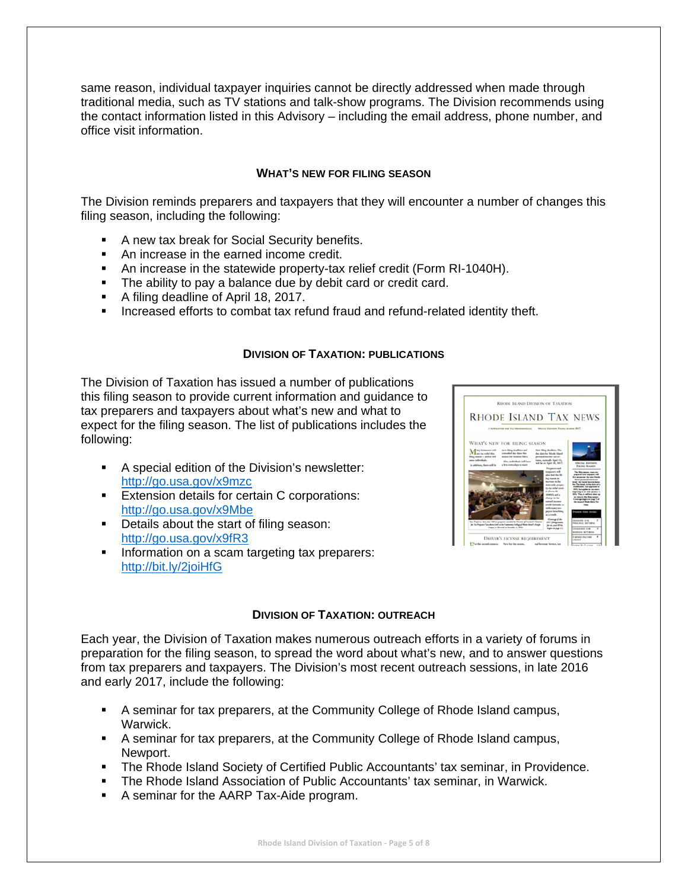same reason, individual taxpayer inquiries cannot be directly addressed when made through traditional media, such as TV stations and talk-show programs. The Division recommends using the contact information listed in this Advisory – including the email address, phone number, and office visit information.

## **WHAT'S NEW FOR FILING SEASON**

The Division reminds preparers and taxpayers that they will encounter a number of changes this filing season, including the following:

- **A new tax break for Social Security benefits.**
- An increase in the earned income credit.
- An increase in the statewide property-tax relief credit (Form RI-1040H).
- The ability to pay a balance due by debit card or credit card.
- A filing deadline of April 18, 2017.
- **Increased efforts to combat tax refund fraud and refund-related identity theft.**

## **DIVISION OF TAXATION: PUBLICATIONS**

The Division of Taxation has issued a number of publications this filing season to provide current information and guidance to tax preparers and taxpayers about what's new and what to expect for the filing season. The list of publications includes the following:

- A special edition of the Division's newsletter: http://go.usa.gov/x9mzc
- **Extension details for certain C corporations:** http://go.usa.gov/x9Mbe
- Details about the start of filing season: http://go.usa.gov/x9fR3
- **Information on a scam targeting tax preparers:** http://bit.ly/2joiHfG



## **DIVISION OF TAXATION: OUTREACH**

Each year, the Division of Taxation makes numerous outreach efforts in a variety of forums in preparation for the filing season, to spread the word about what's new, and to answer questions from tax preparers and taxpayers. The Division's most recent outreach sessions, in late 2016 and early 2017, include the following:

- A seminar for tax preparers, at the Community College of Rhode Island campus, Warwick.
- A seminar for tax preparers, at the Community College of Rhode Island campus, Newport.
- The Rhode Island Society of Certified Public Accountants' tax seminar, in Providence.
- The Rhode Island Association of Public Accountants' tax seminar, in Warwick.
- A seminar for the AARP Tax-Aide program.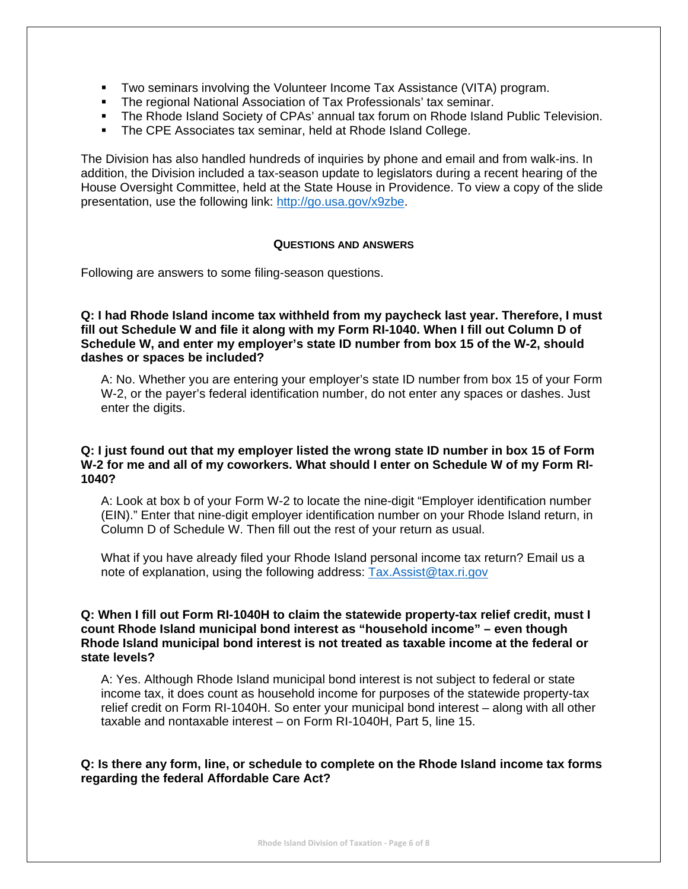- Two seminars involving the Volunteer Income Tax Assistance (VITA) program.
- **The regional National Association of Tax Professionals' tax seminar.**
- The Rhode Island Society of CPAs' annual tax forum on Rhode Island Public Television.
- The CPE Associates tax seminar, held at Rhode Island College.

The Division has also handled hundreds of inquiries by phone and email and from walk-ins. In addition, the Division included a tax-season update to legislators during a recent hearing of the House Oversight Committee, held at the State House in Providence. To view a copy of the slide presentation, use the following link: http://go.usa.gov/x9zbe.

## **QUESTIONS AND ANSWERS**

Following are answers to some filing-season questions.

**Q: I had Rhode Island income tax withheld from my paycheck last year. Therefore, I must fill out Schedule W and file it along with my Form RI-1040. When I fill out Column D of Schedule W, and enter my employer's state ID number from box 15 of the W-2, should dashes or spaces be included?** 

A: No. Whether you are entering your employer's state ID number from box 15 of your Form W-2, or the payer's federal identification number, do not enter any spaces or dashes. Just enter the digits.

## **Q: I just found out that my employer listed the wrong state ID number in box 15 of Form W-2 for me and all of my coworkers. What should I enter on Schedule W of my Form RI-1040?**

A: Look at box b of your Form W-2 to locate the nine-digit "Employer identification number (EIN)." Enter that nine-digit employer identification number on your Rhode Island return, in Column D of Schedule W. Then fill out the rest of your return as usual.

What if you have already filed your Rhode Island personal income tax return? Email us a note of explanation, using the following address: Tax.Assist@tax.ri.gov

## **Q: When I fill out Form RI-1040H to claim the statewide property-tax relief credit, must I count Rhode Island municipal bond interest as "household income" – even though Rhode Island municipal bond interest is not treated as taxable income at the federal or state levels?**

A: Yes. Although Rhode Island municipal bond interest is not subject to federal or state income tax, it does count as household income for purposes of the statewide property-tax relief credit on Form RI-1040H. So enter your municipal bond interest – along with all other taxable and nontaxable interest – on Form RI-1040H, Part 5, line 15.

## **Q: Is there any form, line, or schedule to complete on the Rhode Island income tax forms regarding the federal Affordable Care Act?**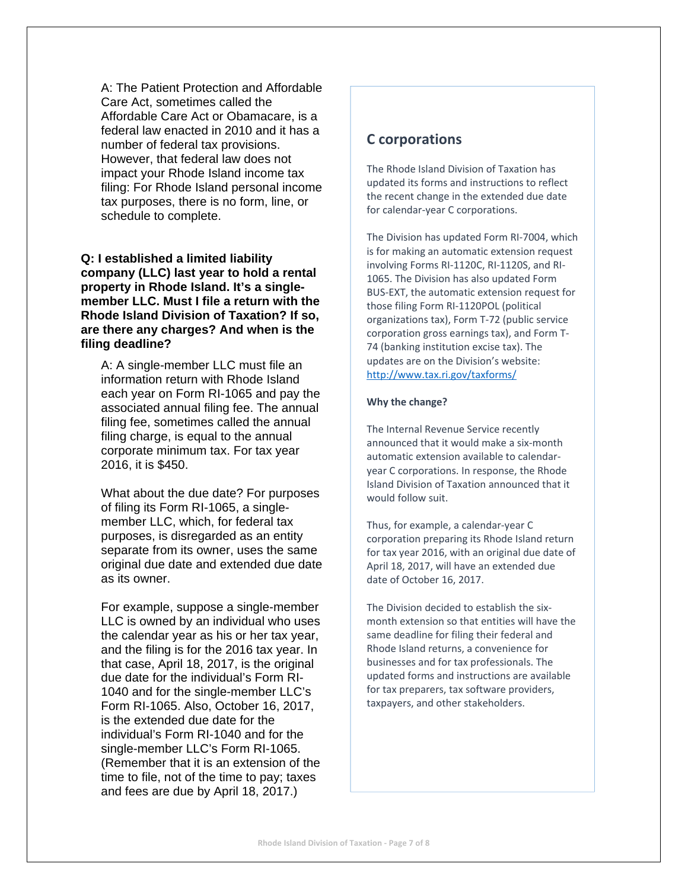A: The Patient Protection and Affordable Care Act, sometimes called the Affordable Care Act or Obamacare, is a federal law enacted in 2010 and it has a number of federal tax provisions. However, that federal law does not impact your Rhode Island income tax filing: For Rhode Island personal income tax purposes, there is no form, line, or schedule to complete.

## **Q: I established a limited liability company (LLC) last year to hold a rental property in Rhode Island. It's a singlemember LLC. Must I file a return with the Rhode Island Division of Taxation? If so, are there any charges? And when is the filing deadline?**

A: A single-member LLC must file an information return with Rhode Island each year on Form RI-1065 and pay the associated annual filing fee. The annual filing fee, sometimes called the annual filing charge, is equal to the annual corporate minimum tax. For tax year 2016, it is \$450.

What about the due date? For purposes of filing its Form RI-1065, a singlemember LLC, which, for federal tax purposes, is disregarded as an entity separate from its owner, uses the same original due date and extended due date as its owner.

For example, suppose a single-member LLC is owned by an individual who uses the calendar year as his or her tax year, and the filing is for the 2016 tax year. In that case, April 18, 2017, is the original due date for the individual's Form RI-1040 and for the single-member LLC's Form RI-1065. Also, October 16, 2017, is the extended due date for the individual's Form RI-1040 and for the single-member LLC's Form RI-1065. (Remember that it is an extension of the time to file, not of the time to pay; taxes and fees are due by April 18, 2017.)

## **C corporations**

The Rhode Island Division of Taxation has updated its forms and instructions to reflect the recent change in the extended due date for calendar‐year C corporations.

The Division has updated Form RI‐7004, which is for making an automatic extension request involving Forms RI‐1120C, RI‐1120S, and RI‐ 1065. The Division has also updated Form BUS‐EXT, the automatic extension request for those filing Form RI‐1120POL (political organizations tax), Form T‐72 (public service corporation gross earnings tax), and Form T‐ 74 (banking institution excise tax). The updates are on the Division's website: http://www.tax.ri.gov/taxforms/

#### **Why the change?**

The Internal Revenue Service recently announced that it would make a six‐month automatic extension available to calendar‐ year C corporations. In response, the Rhode Island Division of Taxation announced that it would follow suit.

Thus, for example, a calendar‐year C corporation preparing its Rhode Island return for tax year 2016, with an original due date of April 18, 2017, will have an extended due date of October 16, 2017.

The Division decided to establish the six‐ month extension so that entities will have the same deadline for filing their federal and Rhode Island returns, a convenience for businesses and for tax professionals. The updated forms and instructions are available for tax preparers, tax software providers, taxpayers, and other stakeholders.